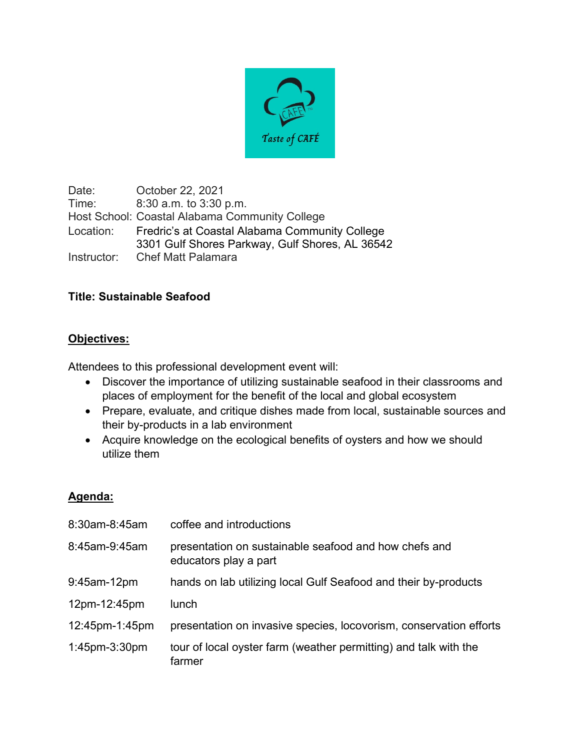

Date: October 22, 2021 Time: 8:30 a.m. to 3:30 p.m. Host School: Coastal Alabama Community College Location: Fredric's at Coastal Alabama Community College 3301 Gulf Shores Parkway, Gulf Shores, AL 36542 Instructor: Chef Matt Palamara

## **Title: Sustainable Seafood**

## **Objectives:**

Attendees to this professional development event will:

- Discover the importance of utilizing sustainable seafood in their classrooms and places of employment for the benefit of the local and global ecosystem
- Prepare, evaluate, and critique dishes made from local, sustainable sources and their by-products in a lab environment
- Acquire knowledge on the ecological benefits of oysters and how we should utilize them

## **Agenda:**

| 8:30am-8:45am        | coffee and introductions                                                       |
|----------------------|--------------------------------------------------------------------------------|
| 8:45am-9:45am        | presentation on sustainable seafood and how chefs and<br>educators play a part |
| 9:45am-12pm          | hands on lab utilizing local Gulf Seafood and their by-products                |
| 12pm-12:45pm         | lunch                                                                          |
| 12:45pm-1:45pm       | presentation on invasive species, locovorism, conservation efforts             |
| $1:45$ pm- $3:30$ pm | tour of local oyster farm (weather permitting) and talk with the<br>farmer     |